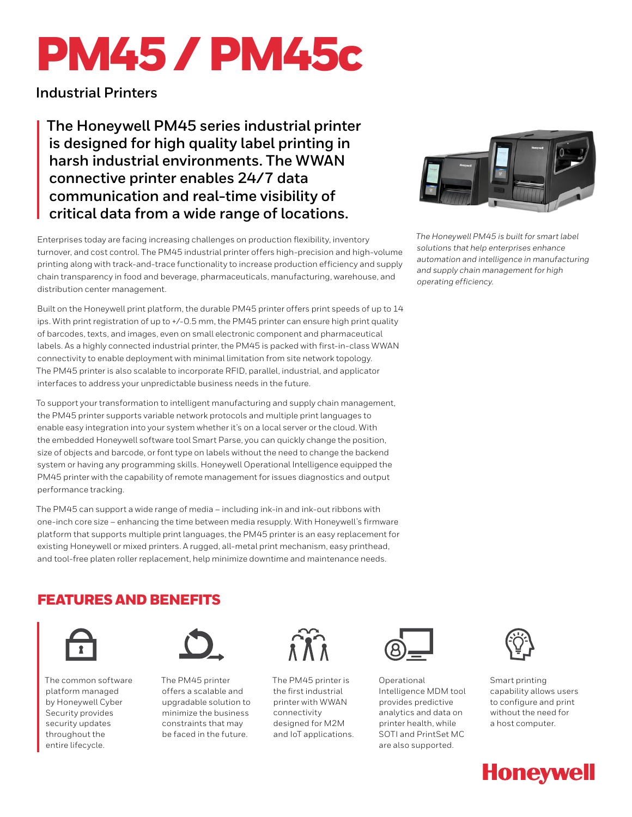# PM45 / PM45c

**Industrial Printers**

**The Honeywell PM45 series industrial printer is designed for high quality label printing in harsh industrial environments. The WWAN connective printer enables 24/7 data communication and real-time visibility of critical data from a wide range of locations.**

Enterprises today are facing increasing challenges on production flexibility, inventory turnover, and cost control. The PM45 industrial printer offers high-precision and high-volume printing along with track-and-trace functionality to increase production efficiency and supply chain transparency in food and beverage, pharmaceuticals, manufacturing, warehouse, and distribution center management.

Built on the Honeywell print platform, the durable PM45 printer offers print speeds of up to 14 ips. With print registration of up to +/-0.5 mm, the PM45 printer can ensure high print quality of barcodes, texts, and images, even on small electronic component and pharmaceutical labels. As a highly connected industrial printer, the PM45 is packed with first-in-class WWAN connectivity to enable deployment with minimal limitation from site network topology. The PM45 printer is also scalable to incorporate RFID, parallel, industrial, and applicator interfaces to address your unpredictable business needs in the future.

To support your transformation to intelligent manufacturing and supply chain management, the PM45 printer supports variable network protocols and multiple print languages to enable easy integration into your system whether it's on a local server or the cloud. With the embedded Honeywell software tool Smart Parse, you can quickly change the position, size of objects and barcode, or font type on labels without the need to change the backend system or having any programming skills. Honeywell Operational Intelligence equipped the PM45 printer with the capability of remote management for issues diagnostics and output performance tracking.

The PM45 can support a wide range of media – including ink-in and ink-out ribbons with one-inch core size – enhancing the time between media resupply. With Honeywell's firmware platform that supports multiple print languages, the PM45 printer is an easy replacement for existing Honeywell or mixed printers. A rugged, all-metal print mechanism, easy printhead, and tool-free platen roller replacement, help minimize downtime and maintenance needs.

# FEATURES AND BENEFITS



The common software platform managed by Honeywell Cyber Security provides security updates throughout the entire lifecycle.



The PM45 printer offers a scalable and upgradable solution to minimize the business constraints that may be faced in the future.



The PM45 printer is the first industrial printer with WWAN connectivity designed for M2M and IoT applications.



Operational Intelligence MDM tool provides predictive analytics and data on printer health, while SOTI and PrintSet MC are also supported.



Smart printing capability allows users to configure and print without the need for a host computer.





*The Honeywell PM45 is built for smart label solutions that help enterprises enhance automation and intelligence in manufacturing and supply chain management for high operating efficiency.*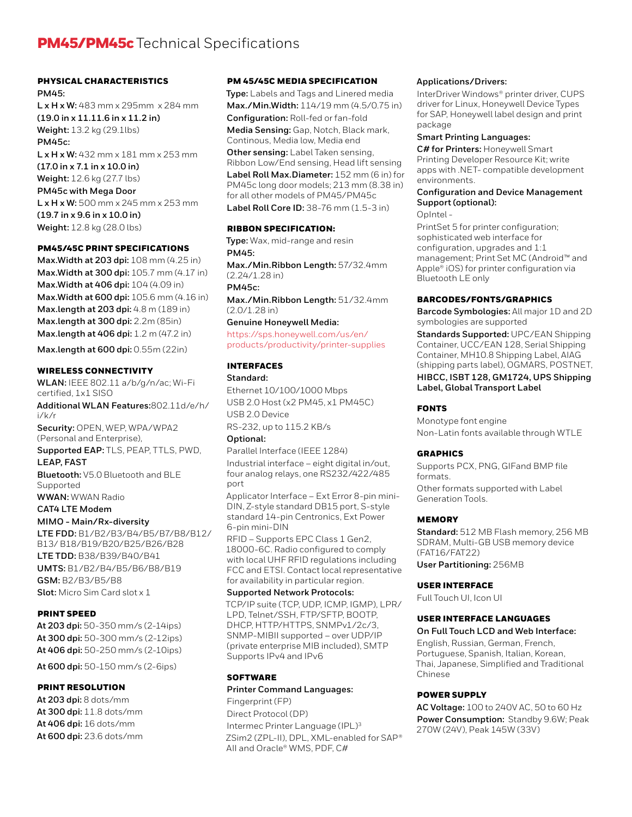# **PM45/PM45c** Technical Specifications

#### PHYSICAL CHARACTERISTICS

**PM45: L x H x W:** 483 mm x 295mm x 284 mm **(19.0 in x 11.11.6 in x 11.2 in) Weight:** 13.2 kg (29.1lbs) **PM45c: L x H x W:** 432 mm x 181 mm x 253 mm **(17.0 in x 7.1 in x 10.0 in) Weight:** 12.6 kg (27.7 lbs) **PM45c with Mega Door L x H x W:** 500 mm x 245 mm x 253 mm **(19.7 in x 9.6 in x 10.0 in) Weight:** 12.8 kg (28.0 lbs)

#### PM45/45C PRINT SPECIFICATIONS

**Max.Width at 203 dpi:** 108 mm (4.25 in) **Max.Width at 300 dpi:** 105.7 mm (4.17 in) **Max.Width at 406 dpi:** 104 (4.09 in) **Max.Width at 600 dpi:** 105.6 mm (4.16 in) **Max.length at 203 dpi:** 4.8 m (189 in) **Max.length at 300 dpi:** 2.2m (85in) **Max.length at 406 dpi:** 1.2 m (47.2 in)

**Max.length at 600 dpi:** 0.55m (22in)

#### WIRELESS CONNECTIVITY

**WLAN:** IEEE 802.11 a/b/g/n/ac; Wi-Fi certified, 1x1 SISO

**Additional WLAN Features:**802.11d/e/h/ i/k/r

**Security:** OPEN, WEP, WPA/WPA2 (Personal and Enterprise),

**Supported EAP:** TLS, PEAP, TTLS, PWD,

#### **LEAP, FAST**

**Bluetooth:** V5.0 Bluetooth and BLE Supported

**WWAN:** WWAN Radio

**CAT4 LTE Modem**

#### **MIMO - Main/Rx-diversity**

**LTE FDD:** B1/B2/B3/B4/B5/B7/B8/B12/ B13/ B18/B19/B20/B25/B26/B28 **LTE TDD:** B38/B39/B40/B41 **UMTS:** B1/B2/B4/B5/B6/B8/B19 **GSM:** B2/B3/B5/B8 **Slot:** Micro Sim Card slot x 1

#### PRINT SPEED

**At 203 dpi:** 50-350 mm/s (2-14ips) **At 300 dpi:** 50-300 mm/s (2-12ips) **At 406 dpi:** 50-250 mm/s (2-10ips)

**At 600 dpi:** 50-150 mm/s (2-6ips)

#### PRINT RESOLUTION

**At 203 dpi:** 8 dots/mm **At 300 dpi:** 11.8 dots/mm **At 406 dpi:** 16 dots/mm **At 600 dpi:** 23.6 dots/mm

#### PM 45/45C MEDIA SPECIFICATION

**Type:** Labels and Tags and Linered media **Max./Min.Width:** 114/19 mm (4.5/0.75 in) **Configuration:** Roll-fed or fan-fold **Media Sensing:** Gap, Notch, Black mark, Continous, Media low, Media end

**Other sensing:** Label Taken sensing, Ribbon Low/End sensing, Head lift sensing **Label Roll Max.Diameter:** 152 mm (6 in) for PM45c long door models; 213 mm (8.38 in) for all other models of PM45/PM45c **Label Roll Core ID:** 38-76 mm (1.5-3 in)

#### RIBBON SPECIFICATION:

**Type:** Wax, mid-range and resin **PM45: Max./Min.Ribbon Length:** 57/32.4mm

(2.24/1.28 in) **PM45c:**

**Max./Min.Ribbon Length:** 51/32.4mm (2.0/1.28 in)

## **Genuine Honeywell Media:**

[https://sps.honeywell.com/us/en/](https://sps.honeywell.com/us/en/products/productivity/printer-supplies) [products/productivity/printer-supplies](https://sps.honeywell.com/us/en/products/productivity/printer-supplies)

#### INTERFACES

#### **Standard:**

Ethernet 10/100/1000 Mbps USB 2.0 Host (x2 PM45, x1 PM45C) USB 2.0 Device RS-232, up to 115.2 KB/s

### **Optional:**

Parallel Interface (IEEE 1284) Industrial interface – eight digital in/out, four analog relays, one RS232/422/485 port

Applicator Interface – Ext Error 8-pin mini-DIN, Z-style standard DB15 port, S-style standard 14-pin Centronics, Ext Power 6-pin mini-DIN

RFID – Supports EPC Class 1 Gen2, 18000-6C. Radio configured to comply with local UHF RFID regulations including FCC and ETSI. Contact local representative for availability in particular region.

#### **Supported Network Protocols:**

TCP/IP suite (TCP, UDP, ICMP, IGMP), LPR/ LPD, Telnet/SSH, FTP/SFTP, BOOTP, DHCP, HTTP/HTTPS, SNMPv1/2c/3, SNMP-MIBII supported – over UDP/IP (private enterprise MIB included), SMTP Supports IPv4 and IPv6

#### **SOFTWARE**

#### **Printer Command Languages:**

Fingerprint (FP) Direct Protocol (DP) Intermec Printer Language (IPL)3 ZSim2 (ZPL-II), DPL, XML-enabled for SAP® AII and Oracle® WMS, PDF, C#

#### **Applications/Drivers:**

InterDriver Windows® printer driver, CUPS driver for Linux, Honeywell Device Types for SAP, Honeywell label design and print package

# **Smart Printing Languages:**

**C# for Printers:** Honeywell Smart Printing Developer Resource Kit; write apps with .NET- compatible development environments.

#### **Configuration and Device Management Support (optional):**

#### OpIntel -

PrintSet 5 for printer configuration; sophisticated web interface for configuration, upgrades and 1:1 management; Print Set MC (Android™ and Apple® iOS) for printer configuration via Bluetooth LE only

#### BARCODES/FONTS/GRAPHICS

**Barcode Symbologies:** All major 1D and 2D symbologies are supported

**Standards Supported:** UPC/EAN Shipping Container, UCC/EAN 128, Serial Shipping Container, MH10.8 Shipping Label, AIAG (shipping parts label), OGMARS, POSTNET,

#### **HIBCC, ISBT 128, GM1724, UPS Shipping Label, Global Transport Label**

#### FONTS

Monotype font engine Non-Latin fonts available through WTLE

#### GRAPHICS

Supports PCX, PNG, GIFand BMP file formats. Other formats supported with Label Generation Tools.

#### MEMORY

**Standard:** 512 MB Flash memory, 256 MB SDRAM, Multi-GB USB memory device (FAT16/FAT22)

**User Partitioning:** 256MB

#### USER INTERFACE

Full Touch UI, Icon UI

#### USER INTERFACE LANGUAGES

#### **On Full Touch LCD and Web Interface:**

English, Russian, German, French, Portuguese, Spanish, Italian, Korean, Thai, Japanese, Simplified and Traditional Chinese

#### POWER SUPPLY

**AC Voltage:** 100 to 240V AC, 50 to 60 Hz **Power Consumption:** Standby 9.6W; Peak 270W (24V), Peak 145W (33V)